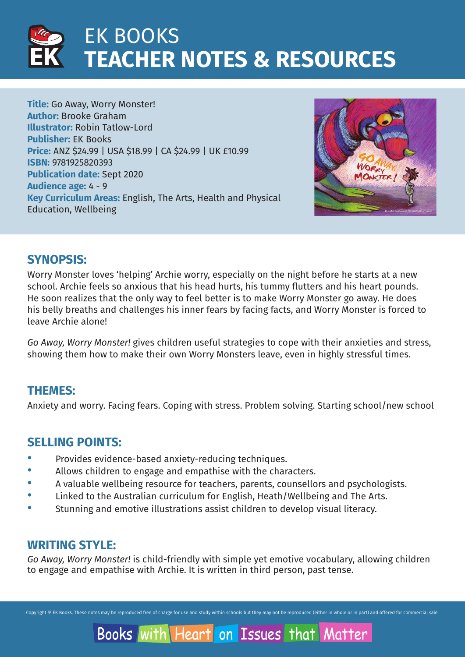

**Title:** Go Away, Worry Monster! **Author:** Brooke Graham **Illustrator:** Robin Tatlow-Lord **Publisher:** EK Books **Price:** ANZ \$24.99 | USA \$18.99 | CA \$24.99 | UK £10.99 **ISBN:** 9781925820393 **Publication date:** Sept 2020 **Audience age:** 4 - 9 **Key Curriculum Areas:** English, The Arts, Health and Physical Education, Wellbeing



### **SYNOPSIS:**

Worry Monster loves 'helping' Archie worry, especially on the night before he starts at a new school. Archie feels so anxious that his head hurts, his tummy flutters and his heart pounds. He soon realizes that the only way to feel better is to make Worry Monster go away. He does his belly breaths and challenges his inner fears by facing facts, and Worry Monster is forced to leave Archie alone!

*Go Away, Worry Monster!* gives children useful strategies to cope with their anxieties and stress, showing them how to make their own Worry Monsters leave, even in highly stressful times.

### **THEMES:**

Anxiety and worry. Facing fears. Coping with stress. Problem solving. Starting school/new school

### **SELLING POINTS:**

- · Provides evidence-based anxiety-reducing techniques.
- · Allows children to engage and empathise with the characters.
- · A valuable wellbeing resource for teachers, parents, counsellors and psychologists.
- · Linked to the Australian curriculum for English, Heath/Wellbeing and The Arts.
- · Stunning and emotive illustrations assist children to develop visual literacy.

### **WRITING STYLE:**

*Go Away, Worry Monster!* is child-friendly with simple yet emotive vocabulary, allowing children to engage and empathise with Archie. It is written in third person, past tense.

Copyright © EK Books. These notes may be reproduced free of charge for use and study within schools but they may not be reproduced (either in whole or in part) and offered for commercial sale.

Matter

Books with Heart on Issues that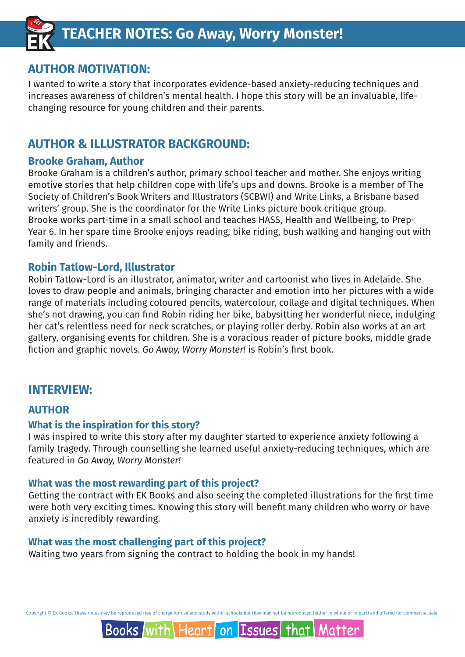

### **AUTHOR MOTIVATION:**

I wanted to write a story that incorporates evidence-based anxiety-reducing techniques and increases awareness of children's mental health. I hope this story will be an invaluable, lifechanging resource for young children and their parents.

### **AUTHOR & ILLUSTRATOR BACKGROUND:**

### **Brooke Graham, Author**

Brooke Graham is a children's author, primary school teacher and mother. She enjoys writing emotive stories that help children cope with life's ups and downs. Brooke is a member of The Society of Children's Book Writers and Illustrators (SCBWI) and Write Links, a Brisbane based writers' group. She is the coordinator for the Write Links picture book critique group. Brooke works part-time in a small school and teaches HASS, Health and Wellbeing, to Prep-Year 6. In her spare time Brooke enjoys reading, bike riding, bush walking and hanging out with family and friends.

### **Robin Tatlow-Lord, Illustrator**

Robin Tatlow-Lord is an illustrator, animator, writer and cartoonist who lives in Adelaide. She loves to draw people and animals, bringing character and emotion into her pictures with a wide range of materials including coloured pencils, watercolour, collage and digital techniques. When she's not drawing, you can find Robin riding her bike, babysitting her wonderful niece, indulging her cat's relentless need for neck scratches, or playing roller derby. Robin also works at an art gallery, organising events for children. She is a voracious reader of picture books, middle grade fiction and graphic novels. *Go Away, Worry Monster!* is Robin's first book.

### **INTERVIEW:**

### **AUTHOR**

### **What is the inspiration for this story?**

I was inspired to write this story after my daughter started to experience anxiety following a family tragedy. Through counselling she learned useful anxiety-reducing techniques, which are featured in *Go Away, Worry Monster!*

### **What was the most rewarding part of this project?**

Getting the contract with EK Books and also seeing the completed illustrations for the first time were both very exciting times. Knowing this story will benefit many children who worry or have anxiety is incredibly rewarding.

### **What was the most challenging part of this project?**

Waiting two years from signing the contract to holding the book in my hands!

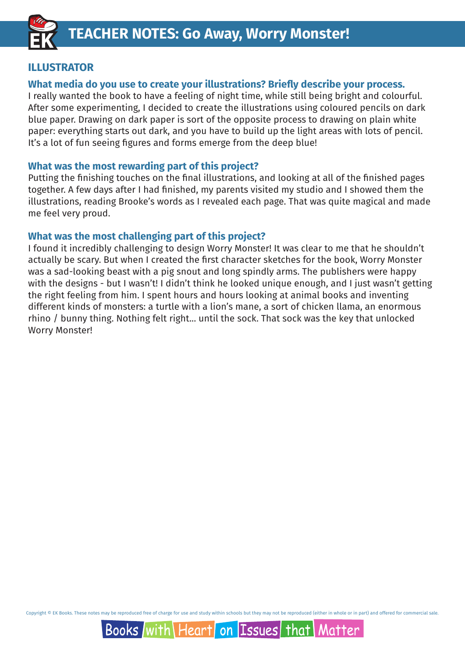

### **ILLUSTRATOR**

### **What media do you use to create your illustrations? Briefly describe your process.**

I really wanted the book to have a feeling of night time, while still being bright and colourful. After some experimenting, I decided to create the illustrations using coloured pencils on dark blue paper. Drawing on dark paper is sort of the opposite process to drawing on plain white paper: everything starts out dark, and you have to build up the light areas with lots of pencil. It's a lot of fun seeing figures and forms emerge from the deep blue!

### **What was the most rewarding part of this project?**

Putting the finishing touches on the final illustrations, and looking at all of the finished pages together. A few days after I had finished, my parents visited my studio and I showed them the illustrations, reading Brooke's words as I revealed each page. That was quite magical and made me feel very proud.

### **What was the most challenging part of this project?**

I found it incredibly challenging to design Worry Monster! It was clear to me that he shouldn't actually be scary. But when I created the first character sketches for the book, Worry Monster was a sad-looking beast with a pig snout and long spindly arms. The publishers were happy with the designs - but I wasn't! I didn't think he looked unique enough, and I just wasn't getting the right feeling from him. I spent hours and hours looking at animal books and inventing different kinds of monsters: a turtle with a lion's mane, a sort of chicken llama, an enormous rhino / bunny thing. Nothing felt right... until the sock. That sock was the key that unlocked Worry Monster!

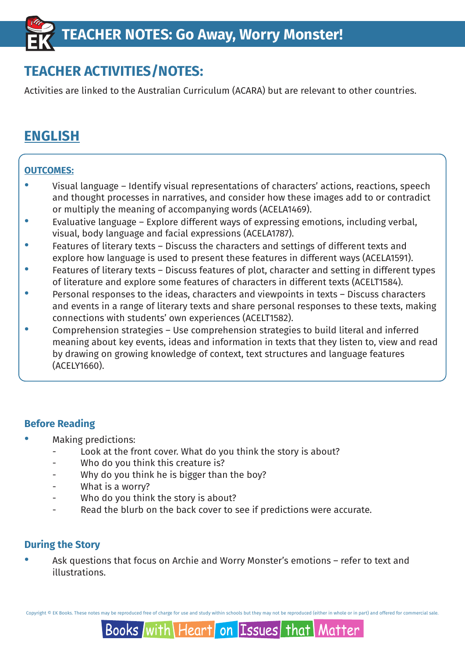## **TEACHER ACTIVITIES/NOTES:**

Activities are linked to the Australian Curriculum (ACARA) but are relevant to other countries.

## **ENGLISH**

### **OUTCOMES:**

- · Visual language Identify visual representations of characters' actions, reactions, speech and thought processes in narratives, and consider how these images add to or contradict or multiply the meaning of accompanying words (ACELA1469).
- · Evaluative language Explore different ways of expressing emotions, including verbal, visual, body language and facial expressions (ACELA1787).
- · Features of literary texts Discuss the characters and settings of different texts and explore how language is used to present these features in different ways (ACELA1591).
- Features of literary texts Discuss features of plot, character and setting in different types of literature and explore some features of characters in different texts (ACELT1584).
- Personal responses to the ideas, characters and viewpoints in texts Discuss characters and events in a range of literary texts and share personal responses to these texts, making connections with students' own experiences (ACELT1582).
- · Comprehension strategies Use comprehension strategies to build literal and inferred meaning about key events, ideas and information in texts that they listen to, view and read by drawing on growing knowledge of context, text structures and language features (ACELY1660).

### **Before Reading**

- · Making predictions:
	- Look at the front cover. What do you think the story is about?
	- Who do you think this creature is?
	- Why do you think he is bigger than the boy?
	- What is a worry?
	- Who do you think the story is about?
	- Read the blurb on the back cover to see if predictions were accurate.

### **During the Story**

Ask questions that focus on Archie and Worry Monster's emotions – refer to text and illustrations.

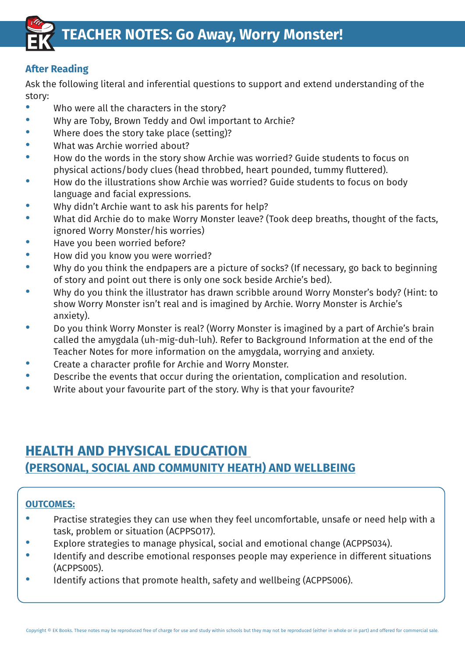

### **After Reading**

Ask the following literal and inferential questions to support and extend understanding of the story:

- Who were all the characters in the story?
- · Why are Toby, Brown Teddy and Owl important to Archie?
- · Where does the story take place (setting)?
- What was Archie worried about?
- · How do the words in the story show Archie was worried? Guide students to focus on physical actions/body clues (head throbbed, heart pounded, tummy fluttered).
- · How do the illustrations show Archie was worried? Guide students to focus on body language and facial expressions.
- Why didn't Archie want to ask his parents for help?
- What did Archie do to make Worry Monster leave? (Took deep breaths, thought of the facts, ignored Worry Monster/his worries)
- Have you been worried before?
- How did you know you were worried?
- · Why do you think the endpapers are a picture of socks? (If necessary, go back to beginning of story and point out there is only one sock beside Archie's bed).
- · Why do you think the illustrator has drawn scribble around Worry Monster's body? (Hint: to show Worry Monster isn't real and is imagined by Archie. Worry Monster is Archie's anxiety).
- · Do you think Worry Monster is real? (Worry Monster is imagined by a part of Archie's brain called the amygdala (uh-mig-duh-luh). Refer to Background Information at the end of the Teacher Notes for more information on the amygdala, worrying and anxiety.
- · Create a character profile for Archie and Worry Monster.
- Describe the events that occur during the orientation, complication and resolution.
- Write about your favourite part of the story. Why is that your favourite?

### **HEALTH AND PHYSICAL EDUCATION (PERSONAL, SOCIAL AND COMMUNITY HEATH) AND WELLBEING**

### **OUTCOMES:**

- · Practise strategies they can use when they feel uncomfortable, unsafe or need help with a task, problem or situation (ACPPSO17).
- Explore strategies to manage physical, social and emotional change (ACPPS034).
- · Identify and describe emotional responses people may experience in different situations (ACPPS005).
- · Identify actions that promote health, safety and wellbeing (ACPPS006).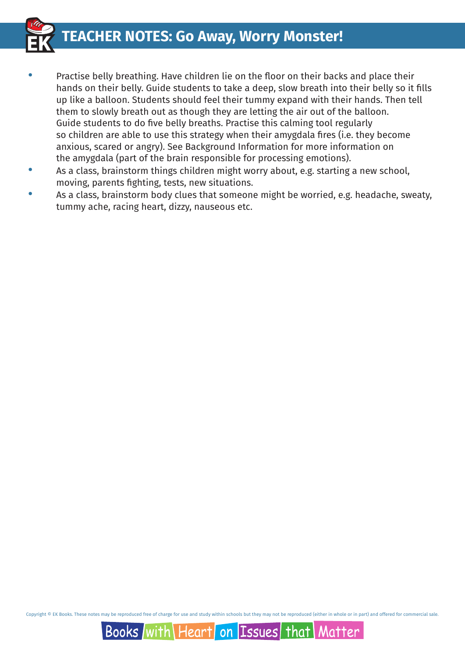**TEACHER NOTES: Go Away, Worry Monster!**

- - Practise belly breathing. Have children lie on the floor on their backs and place their hands on their belly. Guide students to take a deep, slow breath into their belly so it fills up like a balloon. Students should feel their tummy expand with their hands. Then tell them to slowly breath out as though they are letting the air out of the balloon. Guide students to do five belly breaths. Practise this calming tool regularly so children are able to use this strategy when their amygdala fires (i.e. they become anxious, scared or angry). See Background Information for more information on the amygdala (part of the brain responsible for processing emotions).
	- · As a class, brainstorm things children might worry about, e.g. starting a new school, moving, parents fighting, tests, new situations.
	- · As a class, brainstorm body clues that someone might be worried, e.g. headache, sweaty, tummy ache, racing heart, dizzy, nauseous etc.

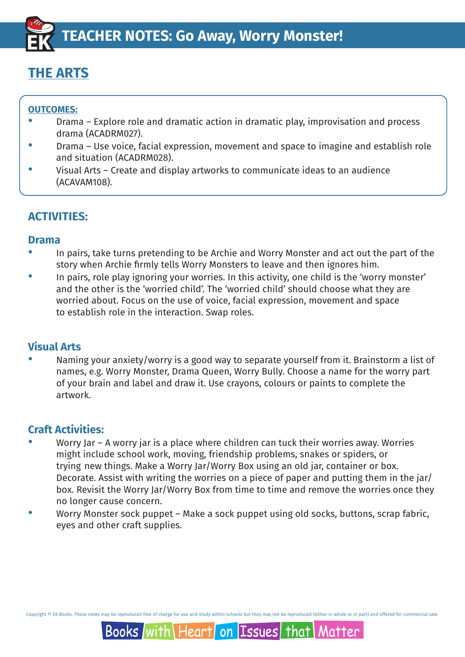## **THE ARTS**

### **OUTCOMES:**

- Drama Explore role and dramatic action in dramatic play, improvisation and process drama (ACADRM027).
- Drama Use voice, facial expression, movement and space to imagine and establish role and situation (ACADRM028).
- Visual Arts Create and display artworks to communicate ideas to an audience (ACAVAM108).

### **ACTIVITIES:**

### **Drama**

- · In pairs, take turns pretending to be Archie and Worry Monster and act out the part of the story when Archie firmly tells Worry Monsters to leave and then ignores him.
- · In pairs, role play ignoring your worries. In this activity, one child is the 'worry monster' and the other is the 'worried child'. The 'worried child' should choose what they are worried about. Focus on the use of voice, facial expression, movement and space to establish role in the interaction. Swap roles.

### **Visual Arts**

Naming your anxiety/worry is a good way to separate yourself from it. Brainstorm a list of names, e.g. Worry Monster, Drama Queen, Worry Bully. Choose a name for the worry part of your brain and label and draw it. Use crayons, colours or paints to complete the artwork.

### **Craft Activities:**

- Worry Jar A worry jar is a place where children can tuck their worries away. Worries might include school work, moving, friendship problems, snakes or spiders, or trying new things. Make a Worry Jar/Worry Box using an old jar, container or box. Decorate. Assist with writing the worries on a piece of paper and putting them in the jar/ box. Revisit the Worry Jar/Worry Box from time to time and remove the worries once they no longer cause concern.
- Worry Monster sock puppet Make a sock puppet using old socks, buttons, scrap fabric, eyes and other craft supplies.

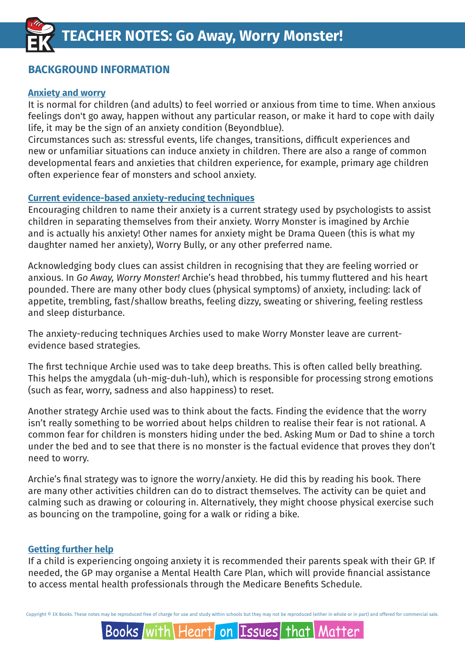### **BACKGROUND INFORMATION**

#### **Anxiety and worry**

It is normal for children (and adults) to feel worried or anxious from time to time. When anxious feelings don't go away, happen without any particular reason, or make it hard to cope with daily life, it may be the sign of an anxiety condition (Beyondblue).

Circumstances such as: stressful events, life changes, transitions, difficult experiences and new or unfamiliar situations can induce anxiety in children. There are also a range of common developmental fears and anxieties that children experience, for example, primary age children often experience fear of monsters and school anxiety.

#### **Current evidence-based anxiety-reducing techniques**

Encouraging children to name their anxiety is a current strategy used by psychologists to assist children in separating themselves from their anxiety. Worry Monster is imagined by Archie and is actually his anxiety! Other names for anxiety might be Drama Queen (this is what my daughter named her anxiety), Worry Bully, or any other preferred name.

Acknowledging body clues can assist children in recognising that they are feeling worried or anxious. In *Go Away, Worry Monster!* Archie's head throbbed, his tummy fluttered and his heart pounded. There are many other body clues (physical symptoms) of anxiety, including: lack of appetite, trembling, fast/shallow breaths, feeling dizzy, sweating or shivering, feeling restless and sleep disturbance.

The anxiety-reducing techniques Archies used to make Worry Monster leave are currentevidence based strategies.

The first technique Archie used was to take deep breaths. This is often called belly breathing. This helps the amygdala (uh-mig-duh-luh), which is responsible for processing strong emotions (such as fear, worry, sadness and also happiness) to reset.

Another strategy Archie used was to think about the facts. Finding the evidence that the worry isn't really something to be worried about helps children to realise their fear is not rational. A common fear for children is monsters hiding under the bed. Asking Mum or Dad to shine a torch under the bed and to see that there is no monster is the factual evidence that proves they don't need to worry.

Archie's final strategy was to ignore the worry/anxiety. He did this by reading his book. There are many other activities children can do to distract themselves. The activity can be quiet and calming such as drawing or colouring in. Alternatively, they might choose physical exercise such as bouncing on the trampoline, going for a walk or riding a bike.

### **Getting further help**

If a child is experiencing ongoing anxiety it is recommended their parents speak with their GP. If needed, the GP may organise a Mental Health Care Plan, which will provide financial assistance to access mental health professionals through the Medicare Benefits Schedule.

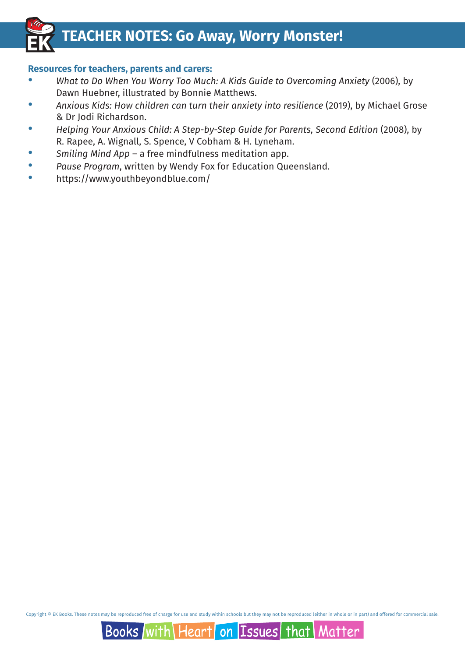## **TEACHER NOTES: Go Away, Worry Monster!**

### **Resources for teachers, parents and carers:**

- · *What to Do When You Worry Too Much: A Kids Guide to Overcoming Anxiety* (2006), by Dawn Huebner, illustrated by Bonnie Matthews.
- · *Anxious Kids: How children can turn their anxiety into resilience* (2019), by Michael Grose & Dr Jodi Richardson.
- · *Helping Your Anxious Child: A Step-by-Step Guide for Parents, Second Edition* (2008), by R. Rapee, A. Wignall, S. Spence, V Cobham & H. Lyneham.
- · *Smiling Mind App* a free mindfulness meditation app.
- · *Pause Program*, written by Wendy Fox for Education Queensland.
- · https://www.youthbeyondblue.com/